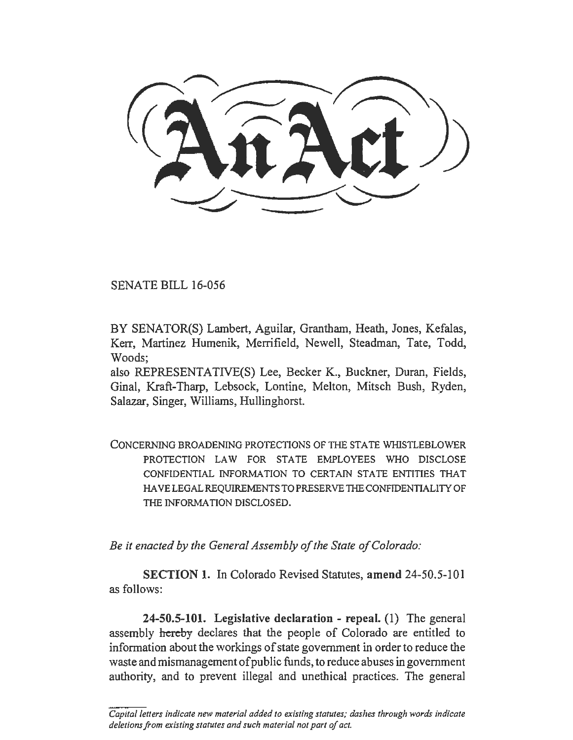SENATE BILL 16-056

BY SENATOR(S) Lambert, Aguilar, Grantham, Heath, Jones, Kefalas, Kerr, Martinez Humenik, Merrifield, Newell, Steadman, Tate, Todd, Woods;

also REPRESENTATIVE(S) Lee, Becker K., Buckner, Duran, Fields, Ginal, Kraft-Tharp, Lebsock, Lontine, Melton, Mitsch Bush, Ryden, Salazar, Singer, Williams, Hullinghorst.

CONCERNING BROADENING PROTECTIONS OF TIIE STATE WHISTLEBLOWER PROTECTION LAW FOR STATE EMPLOYEES WHO DISCLOSE CONFIDENTIAL INFORMATION TO CERTAIN STATE ENTITIES THAT HA VE LEGAL REQUIREMENTS TO PRESERVE THE CONFIDENTIALITY OF THE INFORMATION DISCLOSED.

*Be it enacted by the General Assembly of the State of Colorado:* 

SECTION 1. In Colorado Revised Statutes, amend 24-50.5-101 as follows:

24-50.5-101. Legislative declaration - repeal. (1) The general assembly hereby declares that the people of Colorado are entitled to information about the workings of state government in order to reduce the waste and mismanagement of public funds, to reduce abuses in government authority, and to prevent illegal and unethical practices. The general

*Capital letters indicate new material added to existing statutes; dashes through words indicate deletions from existing statutes and such material not part of act.*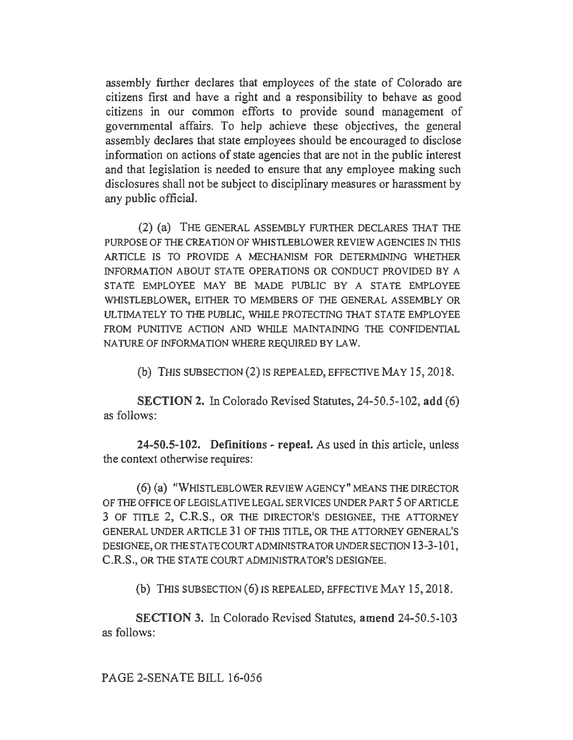assembly further declares that employees of the state of Colorado are citizens first and have a right and a responsibility to behave as good citizens in our common efforts to provide sound management of governmental affairs. To help achieve these objectives, the general assembly declares that state employees should be encouraged to disclose information on actions of state agencies that are not in the public interest and that legislation is needed to ensure that any employee making such disclosures shall not be subject to disciplinary measures or harassment by any public official.

(2) (a) THE GENERAL ASSEMBLY FURTHER DECLARES THAT THE PURPOSE OF THE CREATION OF WHISTLEBLOWER REVIEW AGENCIES IN THIS ARTICLE IS TO PROVIDE A MECHANISM FOR DETERMINING WHETHER INFORMATION ABOUT STATE OPERATIONS OR CONDUCT PROVIDED BY A STATE EMPLOYEE MAY BE MADE PUBLIC BY A STATE EMPLOYEE WHISTLEBLOWER, EITHER TO MEMBERS OF THE GENERAL ASSEMBLY OR ULTIMATELY TO THE PUBLIC, WHILE PROTECTING THAT STATE EMPLOYEE FROM PUNITIVE ACTION AND WHILE MA1NTA1N1NG THE CONFIDENTIAL NATURE OF INFORMATION WHERE REQUIRED BYLAW.

(b) THIS SUBSECTION (2) IS REPEALED, EFFECTIVE MAY 15, 2018.

SECTION 2. In Colorado Revised Statutes, 24-50.5-102, add (6) as follows:

24-50.5-102. Definitions - repeal. As used in this article, unless the context otherwise requires:

(6) (a) "WHISTLEBLOWER REVIEW AGENCY" MEANS THE DIRECTOR OF THE OFFICE OF LEGISLATIVE LEGAL SERVICES UNDER PART 5 OF ARTICLE 3 OF TITLE 2, C.R.S., OR THE DIRECTOR'S DESIGNEE, THE ATTORNEY GENERAL UNDER ARTICLE 31 OF THIS TITLE, OR THE ATTORNEY GENERAL'S DESIGNEE, OR THE STA TE COURT ADMINISTRATOR UNDER SECTION 13-3-101, C.R.S., OR THE STATE COURT ADMINISTRATOR'S DESIGNEE.

(b) THIS SUBSECTION (6) IS REPEALED, EFFECTIVE MAY 15, 2018.

SECTION 3. In Colorado Revised Statutes, amend 24-50.5-103 as follows:

PAGE 2-SENATE BILL 16-056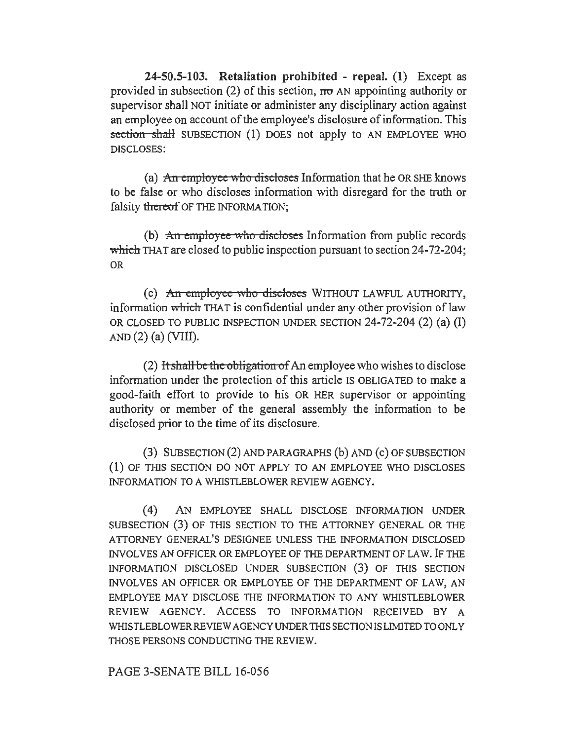24-50.5-103. Retaliation prohibited - repeal. (1) Except as provided in subsection (2) of this section,  $\pi\sigma$  AN appointing authority or supervisor shall NOT initiate or administer any disciplinary action against an employee on account of the employee's disclosure of information. This section shall SUBSECTION (1) DOES not apply to AN EMPLOYEE WHO DISCLOSES:

(a) An employee who discloses Information that he OR SHE knows to be false or who discloses information with disregard for the truth or falsity thereof OF THE INFORMATION;

(b) An employee who discloses Information from public records which THAT are closed to public inspection pursuant to section 24-72-204; OR

(c) An employee who discloses WITHOUT LAWFUL AUTHORITY, information which THAT is confidential under any other provision of law OR CLOSED TO PUBLIC INSPECTION UNDER SECTION 24-72-204 (2) (a) (I)  $AND(2)$  (a) (VIII).

(2) It shall be the obligation of An employee who wishes to disclose information under the protection of this article IS OBLIGATED to make a good-faith effort to provide to his OR HER supervisor or appointing authority or member of the general assembly the information to be disclosed prior to the time of its disclosure.

(3) SUBSECTION(2)ANDPARAGRAPHS {b) AND (c) OF SUBSECTION (1) OF THIS SECTION DO NOT APPLY TO AN EMPLOYEE WHO DISCLOSES INFORMATION TO A WHISTLEBLOWER REVIEW AGENCY.

(4) AN EMPLOYEE SHALL DISCLOSE INFORMATION UNDER SUBSECTION (3) OF THIS SECTION TO THE ATTORNEY GENERAL OR THE ATTORNEY GENERAL'S DESIGNEE UNLESS THE INFORMATION DISCLOSED INVOLVES AN OFFICER OR EMPLOYEE OF THE DEPARTMENT OF LAW. IF THE INFORMATION DISCLOSED UNDER SUBSECTION (3) OF THIS SECTION INVOLVES AN OFFICER OR EMPLOYEE OF THE DEPARTMENT OF LAW, AN EMPLOYEE MAY DISCLOSE THE INFORMATION TO ANY WHISTLEBLOWER REVIEW AGENCY. ACCESS TO INFORMATION RECEIVED BY A WHISTLEBLOWER REVIEW AGENCY UNDER THIS SECTION IS LIMITED TO ONLY THOSE PERSONS CONDUCTING THE REVIEW.

## PAGE 3-SENATE BILL 16-056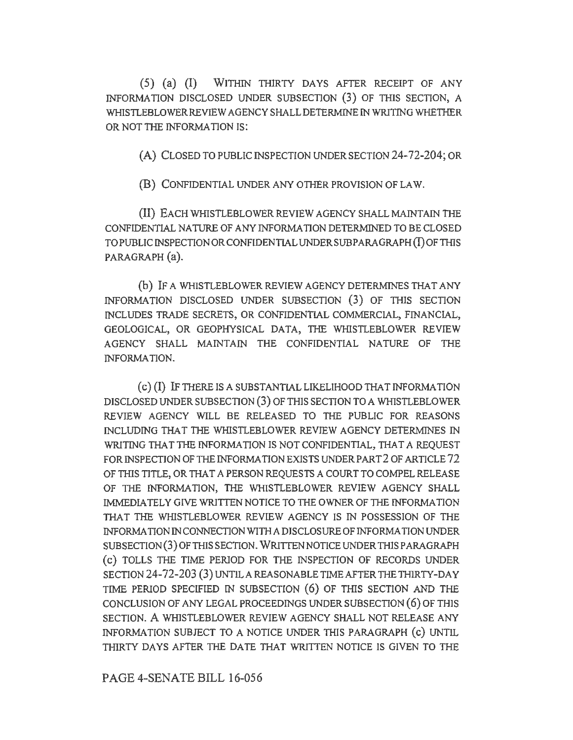(5) (a) (I) WITHIN THIRTY DAYS AFTER RECEIPT OF ANY INFORMATION DISCLOSED UNDER SUBSECTION (3) OF THIS SECTION, A WHISTLEBLOWER REVIEW AGENCY SHALL DETERMINE IN WRITING WHETHER OR NOT THE INFORMATION IS:

(A) CLOSED TO PUBLIC INSPECTION UNDER SECTION 24-72-204; OR

(B) CONFIDENTIAL UNDER ANY OTHER PROVISION OF LAW.

(II) EACH WHISTLEBLOWER REVIEW AGENCY SHALL MAINTAIN THE CONFIDENTIAL NATURE OF ANY INFORMATION DETERMINED TO BE CLOSED TO PUBLIC INSPECTION OR CONFIDENTIAL UNDER SUBPARAGRAPH (I) OF THIS PARAGRAPH (a).

(b) IF A WHISTLEBLOWER REVIEW AGENCY DETERMINES THAT ANY INFORMATION DISCLOSED UNDER SUBSECTION (3) OF THIS SECTION INCLUDES TRADE SECRETS, OR CONFIDENTIAL COMMERCIAL, FINANCIAL, GEOLOGICAL, OR GEOPHYSICAL DATA, THE WHISTLEBLOWER REVIEW AGENCY SHALL MAINTAIN THE CONFIDENTIAL NATURE OF THE INFORMATION.

( c) (I) IF THERE IS A SUBSTANTIAL LIKELIHOOD THAT INFORMATION DISCLOSED UNDER SUBSECTION (3) OF THIS SECTION TO A WHISTLEBLOWER REVIEW AGENCY WILL BE RELEASED TO THE PUBLIC FOR REASONS INCLUDING THAT THE WH1STLEBLOWER REVIEW AGENCY DETERMINES IN WRITING THAT THE INFORMATION IS NOT CONFIDENTIAL, THAT A REQUEST FOR INSPECTION OF THE INFORMATION EXISTS UNDER PART 2 OF ARTICLE 72 OF THIS TITLE, OR THAT A PERSON REQUESTS A COURT TO COMPEL RELEASE OF THE INFORMATION, THE WHISTLEBLOWER REVIEW AGENCY SHALL IMMEDIATELY GIVE WRITTEN NOTICE TO THE OWNER OF TIIE INFORMATION THAT THE WHISTLEBLOWER REVIEW AGENCY IS IN POSSESSION OF THE INFORMATION IN CONNECTION WITH A DISCLOSURE OF INFORMATION UNDER SUBSECTION(3)0FTIIISSECTION. WRITTENNOTICEUNDER THIS PARAGRAPH ( c) TOLLS THE TIME PERIOD FOR THE INSPECTION OF RECORDS UNDER SECTION 24-72-203 (3) UNTIL A REASONABLE TIME AFTER THE THIRTY-DAY TIME PERIOD SPECIFIED IN SUBSECTION (6) OF THIS SECTION AND THE CONCLUSION OF ANY LEGAL PROCEEDINGS UNDER SUBSECTION ( 6) OF THIS SECTION. A WHISTLEBLOWER REVIEW AGENCY SHALL NOT RELEASE ANY INFORMATION SUBJECT TO A NOTICE UNDER THIS PARAGRAPH (c) UNTIL THIRTY DAYS AFTER THE DATE THAT WRITTEN NOTICE IS GIVEN TO THE

PAGE 4-SENATE BILL 16-056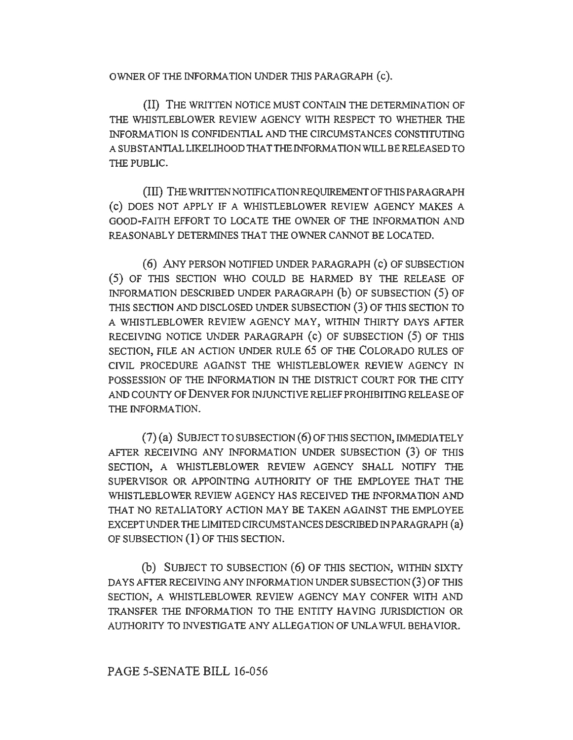OWNER OF THE INFORMATION UNDER THIS PARAGRAPH (c).

(II) THE WRITTEN NOTICE MUST CONTAIN THE DETERMINATION OF THE WHISTLEBLOWER REVIEW AGENCY WITH RESPECT TO WHETHER THE INFORMATION IS CONFIDENTIAL AND THE CIRCUMSTANCES CONSTITUTING A SUBSTANTIAL LIKELIHOOD THAT THE INFORMATION WILL BE RELEASED TO THE PUBLIC.

(III) THE WRITTENNOTIFICA TION REQUIREMENT OF THIS PARAGRAPH (c) DOES NOT APPLY IF A WHISTLEBLOWER REVIEW AGENCY MAKES A GOOD-FAITH EFFORT TO LOCATE THE OWNER OF THE INFORMATION AND REASONABLY DETERMINES THAT THE OWNER CANNOT BE LOCATED.

( 6) ANY PERSON NOTIFIED UNDER PARA GRAPH ( c) OF SUBSECTION ( 5) OF THIS SECTION WHO COULD BE HARMED BY THE RELEASE OF INFORMATION DESCRIBED UNDER PARAGRAPH (b) OF SUBSECTION (5) OF THIS SECTION AND DISCLOSED UNDER SUBSECTION (3) OF THIS SECTION TO A WHISTLEBLOWER REVIEW AGENCY MAY, WITHIN THIRTY DAYS AFTER RECEIVING NOTICE UNDER PARAGRAPH (c) OF SUBSECTION (5) OF THIS SECTION, FILE AN ACTION UNDER RULE 65 OF THE COLORADO RULES OF CIVIL PROCEDURE AGAINST THE WHISTLEBLOWER REVIEW AGENCY IN POSSESSION OF THE INFORMATION IN THE DISTRICT COURT FOR THE CITY AND COUNTY OF DENVER FOR INJUNCTIVE RELIEF PROHIBITING RELEASE OF THE INFORMATION.

 $(7)$  (a) SUBJECT TO SUBSECTION (6) OF THIS SECTION, IMMEDIATELY AFTER RECEIVING ANY INFORMATION UNDER SUBSECTION (3) OF THIS SECTION, A WHISTLEBLOWER REVIEW AGENCY SHALL NOTIFY THE SUPERVISOR OR APPOINTING AUTHORITY OF THE EMPLOYEE THAT THE WHISTLEBLOWER REVIEW AGENCY HAS RECEIVED THE INFORMATION AND THAT NO RETALIATORY ACTION MAY BE TAKEN AGAINST THE EMPLOYEE EXCEPT UNDER THE LIMITED CIRCUMSTANCES DESCRIBED IN PARA GRAPH (a) OF SUBSECTION (1) OF THIS SECTION.

(b) SUBJECT TO SUBSECTION (6) OF THIS SECTION, WITHIN SIXTY DAYS AFTER RECEIVING ANY INFORMATION UNDER SUBSECTION (3) OF THIS SECTION, A WHISTLEBLOWER REVIEW AGENCY MAY CONFER WITH AND TRANSFER THE INFORMATION TO THE ENTITY HAVING JURISDICTION OR AUTHORITY TO INVESTIGATE ANY ALLEGATION OF UNLAWFUL BEHAVIOR.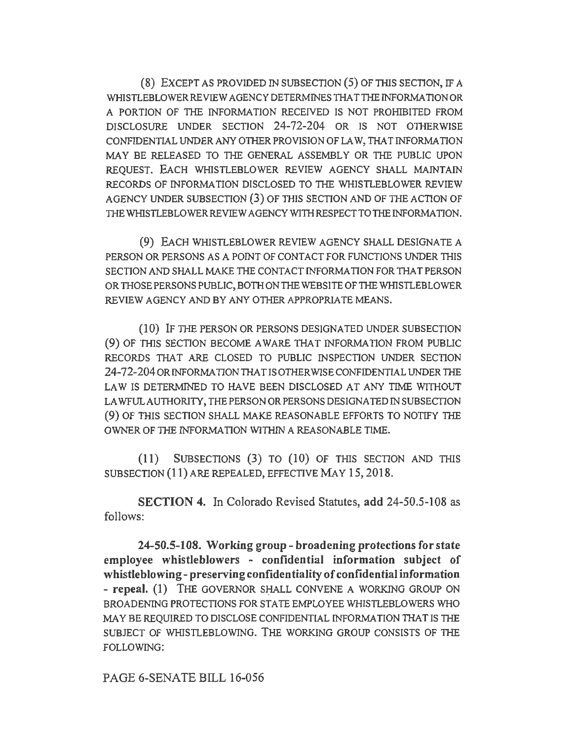(8) EXCEPT AS PROVIDED IN SUBSECTION ( 5) OF 1HIS SECTION, IF A WHISTLEBLOWERREVIEW AGENCY DETERMINES THA TTHE INFORMATION OR A PORTION OF THE INFORMATION RECEIVED IS NOT PROHIBITED FROM DISCLOSURE UNDER SECTION 24-72-204 OR IS NOT OTHERWISE CONFIDENTIAL UNDER ANY OTHER PROVISION OF LAW, THAT INFORMATION MAY BE RELEASED TO THE GENERAL ASSEMBLY OR THE PUBLIC UPON REQUEST. EACH WHISTLEBLOWER REVIEW AGENCY SHALL MAINTAIN RECORDS OF INFORMATION DISCLOSED TO THE WHISTLEBLOWER REVIEW AGENCY UNDER SUBSECTION (3) OF THIS SECTION AND OF THE ACTION OF THE WHISTLEBLOWER REVIEW AGENCY WITH RESPECT TO THE INFORMATION.

(9) EACH WHISTLEBLOWER REVIEW AGENCY SHALL DESIGNATE A PERSON OR PERSONS AS A POINT OF CONTACT FOR FUNCTIONS UNDER THIS SECTION AND SHALL MAKE THE CONTACT INFORMATION FOR THAT PERSON OR THOSE PERSONS PUBLIC, BOTH ON THE WEBSITE OF THE WHISTLEBLOWER REVIEW AGENCY AND BY ANY OTHER APPROPRIATE MEANS.

**(10)** IF THE PERSON OR PERSONS DESIGNATED UNDER SUBSECTION (9) OF THIS SECTION BECOME AWARE THAT INFORMATION FROM PUBLIC RECORDS THAT ARE CLOSED TO PUBLIC INSPECTION UNDER SECTION 24-72-204 ORINFORMA TIONTHA TIS OTHER WISE CONFIDENTIAL UNDER THE LAW IS DETERMINED TO HAVE BEEN DISCLOSED AT ANY TIME WITHOUT LA WFULAUTHORITY, THE PERSON OR PERSONS DESIGNATED IN SUBSECTION (9) OF TIIIS SECTION SHALL MAKE REASONABLE EFFORTS TO NOTIFY THE OWNER OF THE INFORMATION WITHIN A REASONABLE TIME.

(II) SUBSECTIONS (3) TO (10) OF THIS SECTION AND 1HIS SUBSECTION ( **11)** ARE REPEALED, EFFECTIVE MAY 15, 2018.

**SECTION 4.** In Colorado Revised Statutes, **add** 24-50.5-108 as follows:

**24-50.5-108. Working group- broadening protections for state employee whistleblowers - confidential information subject of whistleblowing- preserving confidentiality of confidential information**  - **repeal.** (1) THE GOVERNOR SHALL CONVENE A WORKING GROUP ON BROADENING PROTECTIONS FOR STATE EMPLOYEE WHISTLEBLOWERS WHO MAY BE REQUIRED TO DISCLOSE CONFIDENTIAL INFORMATION THAT IS THE SUBJECT OF WHISTLEBLOWING. THE WORKING GROUP CONSISTS OF THE FOLLOWING:

PAGE 6-SENATE BILL 16-056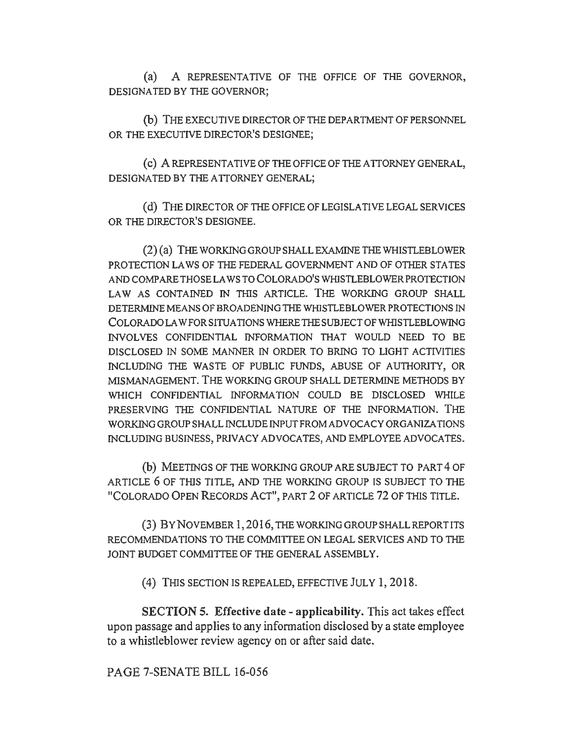(a) A REPRESENTATIVE OF THE OFFICE OF THE GOVERNOR, DESIGNATED BY THE GOVERNOR;

(b) THE EXECUTIVE DIRECTOR OF THE DEPARTMENT OF PERSONNEL OR THE EXECUTIVE DIRECTOR'S DESIGNEE;

( c) A REPRESENTATIVE OF THE OFFICE OF THE ATTORNEY GENERAL, DESIGNATED BY THE ATTORNEY GENERAL;

(d) THE DIRECTOR OF THE OFFICE OF LEGISLATIVE LEGAL SERVICES OR THE DIRECTOR'S DESIGNEE.

 $(2)$  $(a)$  THE WORKING GROUP SHALL EXAMINE THE WHISTLEBLOWER PROTECTION LAWS OF THE FEDERAL GOVERNMENT AND OF OTHER STA TES AND COMPARE THOSE LAWS TO COLORADO'S WHISTLEBLOWERPROTECTION LAW AS CONTAINED IN THIS ARTICLE. THE WORKING GROUP SHALL DETERMINE MEANS OF BROADENING THE WHISTLEBLOWER PROTECTIONS IN COLORADO LA WFORSITUA TIONS WHERE THE SUBJECT OF WHISTLEBLOWING INVOLVES CONFIDENTIAL INFORMATION THAT WOULD NEED TO BE DISCLOSED IN SOME MANNER IN ORDER TO BRING TO LIGHT ACTIVITIES INCLUDING THE WASTE OF PUBLIC FUNDS, ABUSE OF AUTHORITY, OR MISMANAGEMENT. THE WORKING GROUP SHALL DETERMINE METHODS BY WHICH CONFIDENTIAL INFORMATION COULD BE DISCLOSED WHILE PRESERVING THE CONFIDENTIAL NATURE OF THE INFORMATION. THE WORKING GROUP SHALL INCLUDE INPUT FROM ADVOCACY ORGANIZATIONS INCLUDING BUSINESS, PRIVACY ADVOCATES, AND EMPLOYEE ADVOCATES.

(b) MEETINGS OF THE WORKING GROUP ARE SUBJECT TO PART 4 OF ARTICLE 6 OF THIS TITLE, AND THE WORKING GROUP IS SUBJECT TO THE "COLORADO OPEN RECORDS ACT", PART 2 OF ARTICLE 72 OF THIS TITLE.

(3) BYNOVEMBER 1,2016, THEWORKINGGROUPSHALLREPORTITS RECOMMENDATIONS TO THE COMMITTEE ON LEGAL SERVICES AND TO THE JOINT BUDGET COMMITTEE OF THE GENERAL ASSEMBLY.

(4) THIS SECTION IS REPEALED, EFFECTIVE JULY I, 2018.

SECTION 5. Effective date - applicability. This act takes effect upon passage and applies to any information disclosed by a state employee to a whistleblower review agency on or after said date.

PAGE 7-SENATE BILL 16-056